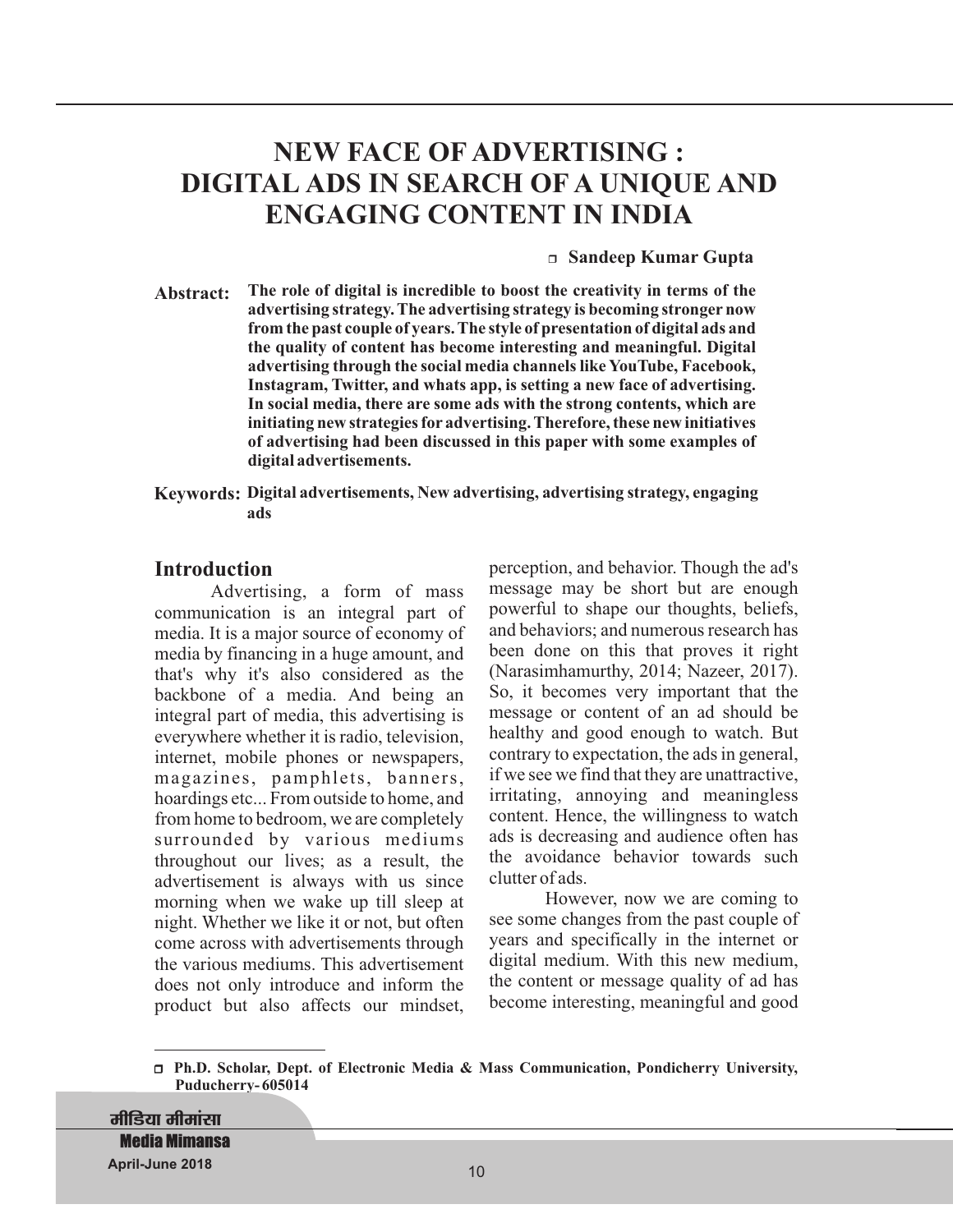# **NEW FACE OF ADVERTISING : DIGITAL ADS IN SEARCH OF A UNIQUE AND ENGAGING CONTENT IN INDIA**

<sup>r</sup>**Sandeep Kumar Gupta**

**Abstract: The role of digital is incredible to boost the creativity in terms of the advertising strategy. The advertising strategy is becoming stronger now from the past couple of years. The style of presentation of digital ads and the quality of content has become interesting and meaningful. Digital advertising through the social media channels like YouTube, Facebook, Instagram, Twitter, and whats app, is setting a new face of advertising. In social media, there are some ads with the strong contents, which are initiating new strategies for advertising. Therefore, these new initiatives of advertising had been discussed in this paper with some examples of digital advertisements.**

**Keywords: Digital advertisements, New advertising, advertising strategy, engaging ads**

#### **Introduction**

Advertising, a form of mass communication is an integral part of media. It is a major source of economy of media by financing in a huge amount, and that's why it's also considered as the backbone of a media. And being an integral part of media, this advertising is everywhere whether it is radio, television, internet, mobile phones or newspapers, magazines, pamphlets, banners, hoardings etc... From outside to home, and from home to bedroom, we are completely surrounded by various mediums throughout our lives; as a result, the advertisement is always with us since morning when we wake up till sleep at night. Whether we like it or not, but often come across with advertisements through the various mediums. This advertisement does not only introduce and inform the product but also affects our mindset, perception, and behavior. Though the ad's message may be short but are enough powerful to shape our thoughts, beliefs, and behaviors; and numerous research has been done on this that proves it right (Narasimhamurthy, 2014; Nazeer, 2017). So, it becomes very important that the message or content of an ad should be healthy and good enough to watch. But contrary to expectation, the ads in general, if we see we find that they are unattractive, irritating, annoying and meaningless content. Hence, the willingness to watch ads is decreasing and audience often has the avoidance behavior towards such clutter of ads.

However, now we are coming to see some changes from the past couple of years and specifically in the internet or digital medium. With this new medium, the content or message quality of ad has become interesting, meaningful and good

**मीडिया मीमांसा Media Mimansa April-June 2018** 11

<sup>r</sup>**Ph.D. Scholar, Dept. of Electronic Media & Mass Communication, Pondicherry University, Puducherry- 605014**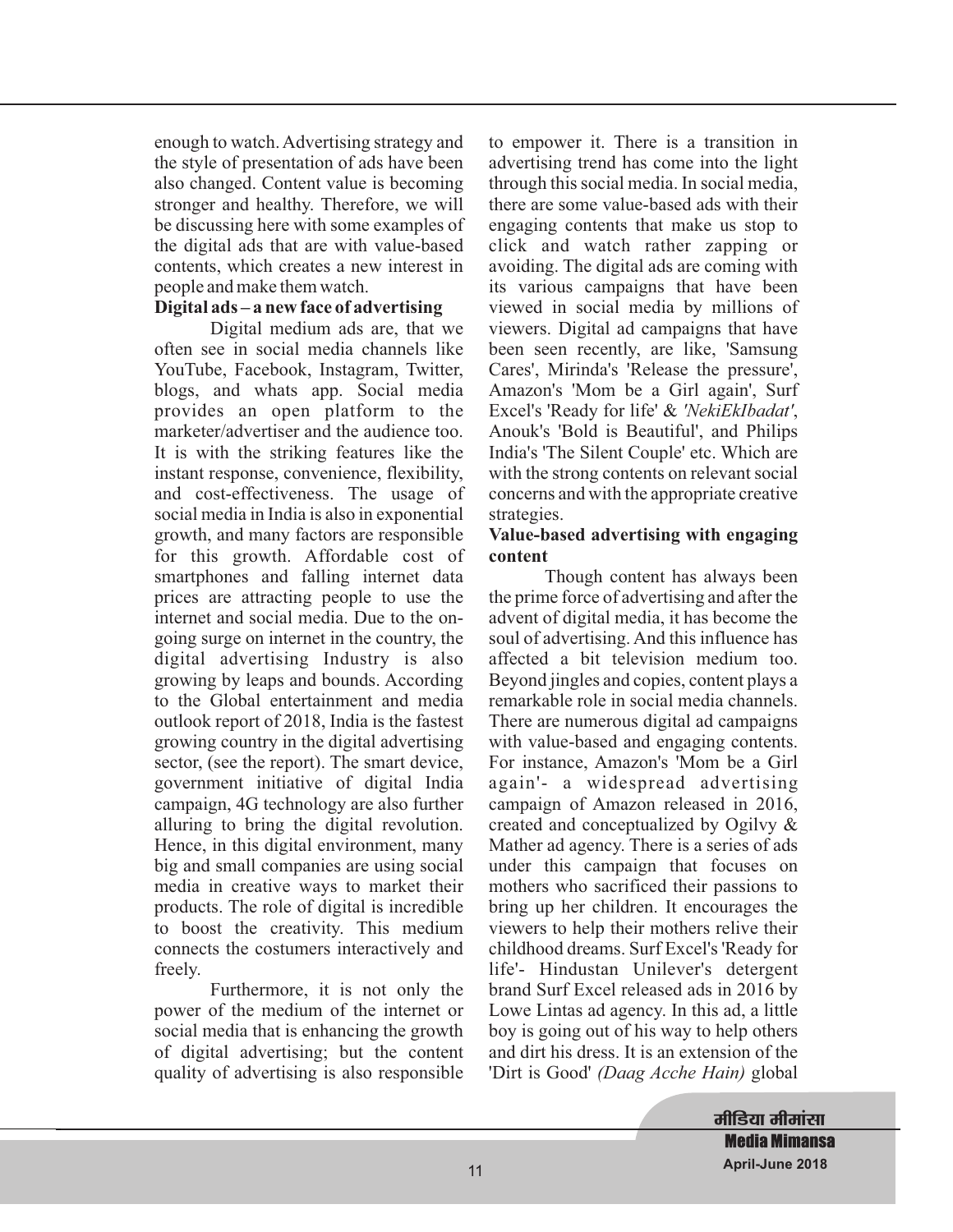enough to watch. Advertising strategy and the style of presentation of ads have been also changed. Content value is becoming stronger and healthy. Therefore, we will be discussing here with some examples of the digital ads that are with value-based contents, which creates a new interest in people and make them watch.

## **Digital ads – a new face of advertising**

Digital medium ads are, that we often see in social media channels like YouTube, Facebook, Instagram, Twitter, blogs, and whats app. Social media provides an open platform to the marketer/advertiser and the audience too. It is with the striking features like the instant response, convenience, flexibility, and cost-effectiveness. The usage of social media in India is also in exponential growth, and many factors are responsible for this growth. Affordable cost of smartphones and falling internet data prices are attracting people to use the internet and social media. Due to the ongoing surge on internet in the country, the digital advertising Industry is also growing by leaps and bounds. According to the Global entertainment and media outlook report of 2018, India is the fastest growing country in the digital advertising sector, (see the report). The smart device, government initiative of digital India campaign, 4G technology are also further alluring to bring the digital revolution. Hence, in this digital environment, many big and small companies are using social media in creative ways to market their products. The role of digital is incredible to boost the creativity. This medium connects the costumers interactively and freely.

Furthermore, it is not only the power of the medium of the internet or social media that is enhancing the growth of digital advertising; but the content quality of advertising is also responsible to empower it. There is a transition in advertising trend has come into the light through this social media. In social media, there are some value-based ads with their engaging contents that make us stop to click and watch rather zapping or avoiding. The digital ads are coming with its various campaigns that have been viewed in social media by millions of viewers. Digital ad campaigns that have been seen recently, are like, 'Samsung Cares', Mirinda's 'Release the pressure', Amazon's 'Mom be a Girl again', Surf Excel's 'Ready for life' & 'NekiEkIbadat', Anouk's 'Bold is Beautiful', and Philips India's 'The Silent Couple' etc. Which are with the strong contents on relevant social concerns and with the appropriate creative strategies.

#### **Value-based advertising with engaging content**

Though content has always been the prime force of advertising and after the advent of digital media, it has become the soul of advertising. And this influence has affected a bit television medium too. Beyond jingles and copies, content plays a remarkable role in social media channels. There are numerous digital ad campaigns with value-based and engaging contents. For instance, Amazon's 'Mom be a Girl again'- a widespread advertising campaign of Amazon released in 2016, created and conceptualized by Ogilvy & Mather ad agency. There is a series of ads under this campaign that focuses on mothers who sacrificed their passions to bring up her children. It encourages the viewers to help their mothers relive their childhood dreams. Surf Excel's 'Ready for life'- Hindustan Unilever's detergent brand Surf Excel released ads in 2016 by Lowe Lintas ad agency. In this ad, a little boy is going out of his way to help others and dirt his dress. It is an extension of the 'Dirt is Good' *(Daag Acche Hain)* global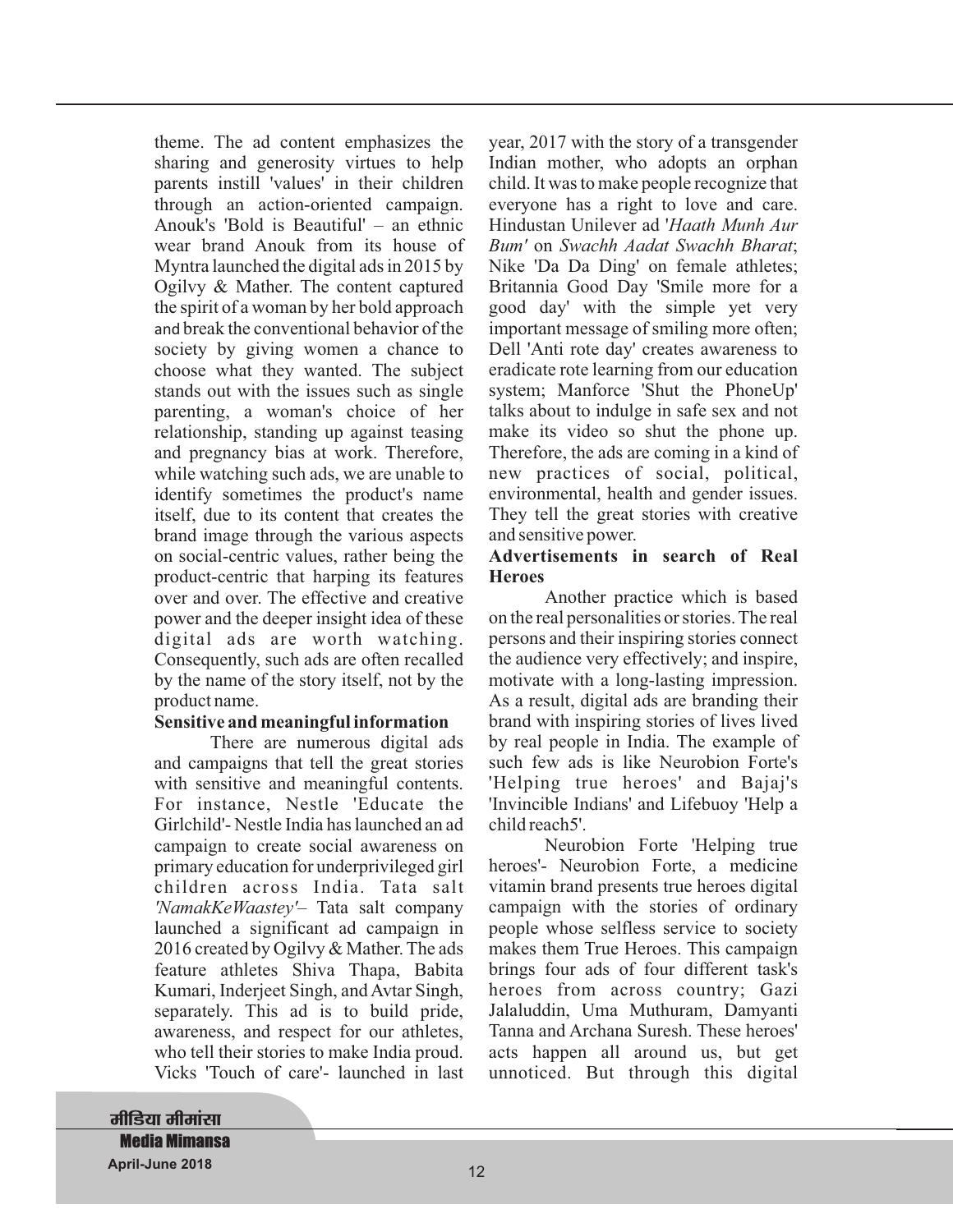theme. The ad content emphasizes the sharing and generosity virtues to help parents instill 'values' in their children through an action-oriented campaign. Anouk's 'Bold is Beautiful' – an ethnic wear brand Anouk from its house of Myntra launched the digital ads in 2015 by Ogilvy & Mather. The content captured the spirit of a woman by her bold approach and break the conventional behavior of the society by giving women a chance to choose what they wanted. The subject stands out with the issues such as single parenting, a woman's choice of her relationship, standing up against teasing and pregnancy bias at work. Therefore, while watching such ads, we are unable to identify sometimes the product's name itself, due to its content that creates the brand image through the various aspects on social-centric values, rather being the product-centric that harping its features over and over. The effective and creative power and the deeper insight idea of these digital ads are worth watching. Consequently, such ads are often recalled by the name of the story itself, not by the product name.

## **Sensitive and meaningful information**

There are numerous digital ads and campaigns that tell the great stories with sensitive and meaningful contents. For instance, Nestle 'Educate the Girlchild'- Nestle India has launched an ad campaign to create social awareness on primary education for underprivileged girl children across India. Tata salt *'NamakKeWaastey'*– Tata salt company launched a significant ad campaign in 2016 created by Ogilvy & Mather. The ads feature athletes Shiva Thapa, Babita Kumari, Inderjeet Singh, and Avtar Singh, separately. This ad is to build pride, awareness, and respect for our athletes, who tell their stories to make India proud. Vicks 'Touch of care'- launched in last

year, 2017 with the story of a transgender Indian mother, who adopts an orphan child. It was to make people recognize that everyone has a right to love and care. Hindustan Unilever ad '*Haath Munh Aur* **Bum' on Swachh Aadat Swachh Bharat;** Nike 'Da Da Ding' on female athletes; Britannia Good Day 'Smile more for a good day' with the simple yet very important message of smiling more often; Dell 'Anti rote day' creates awareness to eradicate rote learning from our education system; Manforce 'Shut the PhoneUp' talks about to indulge in safe sex and not make its video so shut the phone up. Therefore, the ads are coming in a kind of new practices of social, political, environmental, health and gender issues. They tell the great stories with creative and sensitive power.

#### **Advertisements in search of Real Heroes**

Another practice which is based on the real personalities or stories. The real persons and their inspiring stories connect the audience very effectively; and inspire, motivate with a long-lasting impression. As a result, digital ads are branding their brand with inspiring stories of lives lived by real people in India. The example of such few ads is like Neurobion Forte's 'Helping true heroes' and Bajaj's 'Invincible Indians' and Lifebuoy 'Help a child reach5'.

Neurobion Forte 'Helping true heroes'- Neurobion Forte, a medicine vitamin brand presents true heroes digital campaign with the stories of ordinary people whose selfless service to society makes them True Heroes. This campaign brings four ads of four different task's heroes from across country; Gazi Jalaluddin, Uma Muthuram, Damyanti Tanna and Archana Suresh. These heroes' acts happen all around us, but get unnoticed. But through this digital

मीडिया मीमांसा **Media Mimansa April-June 2018** 13